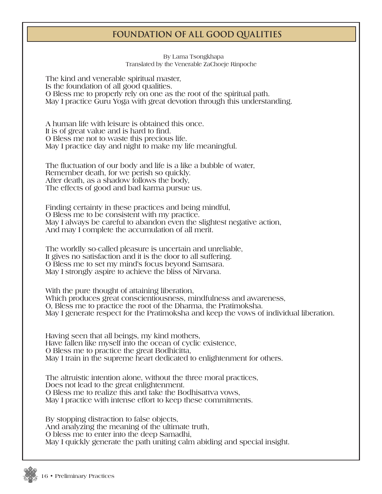## **Foundation of All Good Qualities**

## **By Lama Tsongkhapa Translated by the Venerable ZaChoeje Rinpoche**

**The kind and venerable spiritual master, Is the foundation of all good qualities. O Bless me to properly rely on one as the root of the spiritual path. May I practice Guru Yoga with great devotion through this understanding.**

**A human life with leisure is obtained this once. It is of great value and is hard to find. O Bless me not to waste this precious life. May I practice day and night to make my life meaningful.**

**The fluctuation of our body and life is a like a bubble of water, Remember death, for we perish so quickly. After death, as a shadow follows the body, The effects of good and bad karma pursue us.** 

**Finding certainty in these practices and being mindful, O Bless me to be consistent with my practice. May I always be careful to abandon even the slightest negative action, And may I complete the accumulation of all merit.**

**The worldly so-called pleasure is uncertain and unreliable, It gives no satisfaction and it is the door to all suffering. O Bless me to set my mind's focus beyond Samsara. May I strongly aspire to achieve the bliss of Nirvana.**

**With the pure thought of attaining liberation, Which produces great conscientiousness, mindfulness and awareness, O, Bless me to practice the root of the Dharma, the Pratimoksha. May I generate respect for the Pratimoksha and keep the vows of individual liberation.**

**Having seen that all beings, my kind mothers, Have fallen like myself into the ocean of cyclic existence, O Bless me to practice the great Bodhicitta, May I train in the supreme heart dedicated to enlightenment for others.**

**The altruistic intention alone, without the three moral practices, Does not lead to the great enlightenment. O Bless me to realize this and take the Bodhisattva vows, May I practice with intense effort to keep these commitments.**

**By stopping distraction to false objects, And analyzing the meaning of the ultimate truth, O bless me to enter into the deep Samadhi, May I quickly generate the path uniting calm abiding and special insight.**